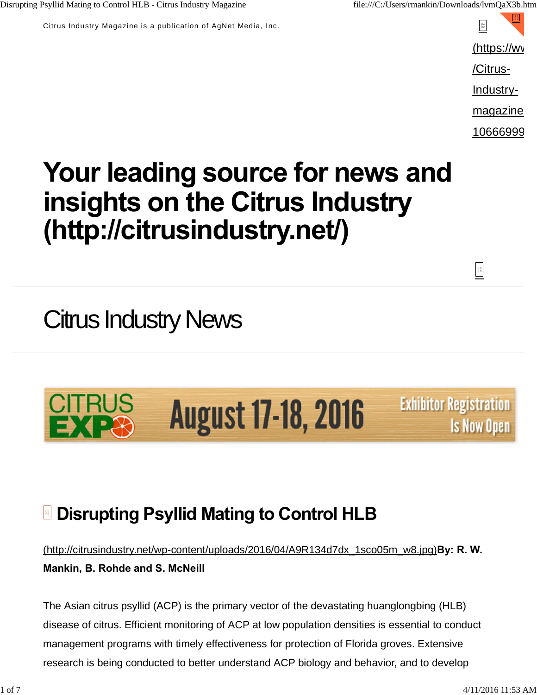Disrupting Psyllid Mating to Control HLB - Citrus Industry Magazine file:///C:/Users/rmankin/Downloads/lvmQaX3b.htm

Citrus Industry Magazine is a publication of AgNet Media, Inc.

 $\substack{\mathsf{F0}\;\\ \mathsf{0}\;\mathsf{B}}$  $(**https://wv**)$ /Citrus-Industrymagazine-

10666999

# **Your leading source for news and insights on the Citrus Industry (http://citrusindustry.net/)**

## Citrus Industry News

#### **CITRUS August 17-18, 2016** EXPR

**Exhibitor Registration Is Now Open** 

 $\frac{1}{2}$ 

### **Disrupting Psyllid Mating to Control HLB**

(http://citrusindustry.net/wp-content/uploads/2016/04/A9R134d7dx\_1sco05m\_w8.jpg)**By: R. W. Mankin, B. Rohde and S. McNeill**

The Asian citrus psyllid (ACP) is the primary vector of the devastating huanglongbing (HLB) disease of citrus. Efficient monitoring of ACP at low population densities is essential to conduct management programs with timely effectiveness for protection of Florida groves. Extensive research is being conducted to better understand ACP biology and behavior, and to develop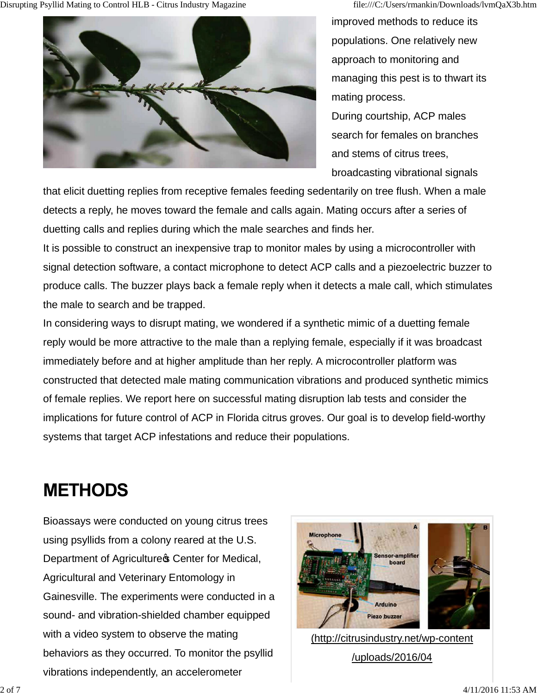Disrupting Psyllid Mating to Control HLB - Citrus Industry Magazine file:///C:/Users/rmankin/Downloads/lvmQaX3b.htm



improved methods to reduce its populations. One relatively new approach to monitoring and managing this pest is to thwart its mating process. During courtship, ACP males search for females on branches and stems of citrus trees, broadcasting vibrational signals

that elicit duetting replies from receptive females feeding sedentarily on tree flush. When a male detects a reply, he moves toward the female and calls again. Mating occurs after a series of duetting calls and replies during which the male searches and finds her.

It is possible to construct an inexpensive trap to monitor males by using a microcontroller with signal detection software, a contact microphone to detect ACP calls and a piezoelectric buzzer to produce calls. The buzzer plays back a female reply when it detects a male call, which stimulates the male to search and be trapped.

In considering ways to disrupt mating, we wondered if a synthetic mimic of a duetting female reply would be more attractive to the male than a replying female, especially if it was broadcast immediately before and at higher amplitude than her reply. A microcontroller platform was constructed that detected male mating communication vibrations and produced synthetic mimics of female replies. We report here on successful mating disruption lab tests and consider the implications for future control of ACP in Florida citrus groves. Our goal is to develop field-worthy systems that target ACP infestations and reduce their populations.

#### **METHODS**

Bioassays were conducted on young citrus trees using psyllids from a colony reared at the U.S. Department of Agriculture<sup>s</sup> Center for Medical, Agricultural and Veterinary Entomology in Gainesville. The experiments were conducted in a sound- and vibration-shielded chamber equipped with a video system to observe the mating behaviors as they occurred. To monitor the psyllid vibrations independently, an accelerometer



(http://citrusindustry.net/wp-content /uploads/2016/04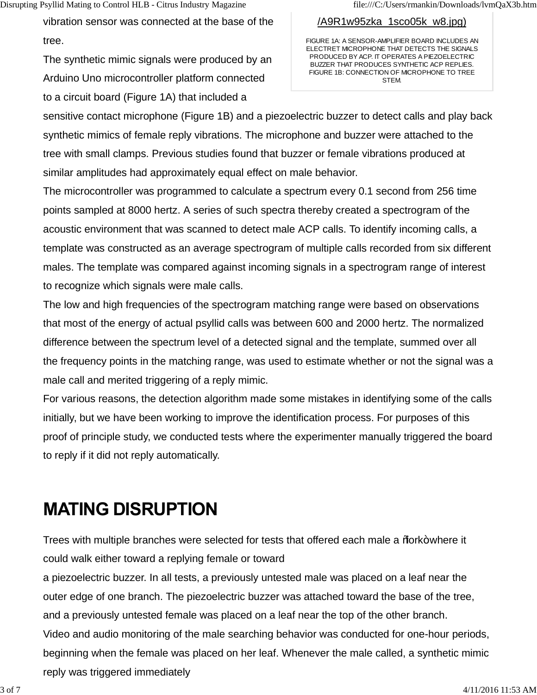vibration sensor was connected at the base of the tree.

The synthetic mimic signals were produced by an Arduino Uno microcontroller platform connected to a circuit board (Figure 1A) that included a

#### /A9R1w95zka\_1sco05k\_w8.jpg)

FIGURE 1A: A SENSOR-AMPLIFIER BOARD INCLUDES AN ELECTRET MICROPHONE THAT DETECTS THE SIGNALS PRODUCED BY ACP. IT OPERATES A PIEZOELECTRIC BUZZER THAT PRODUCES SYNTHETIC ACP REPLIES. FIGURE 1B: CONNECTION OF MICROPHONE TO TREE **STEM** 

sensitive contact microphone (Figure 1B) and a piezoelectric buzzer to detect calls and play back synthetic mimics of female reply vibrations. The microphone and buzzer were attached to the tree with small clamps. Previous studies found that buzzer or female vibrations produced at similar amplitudes had approximately equal effect on male behavior.

The microcontroller was programmed to calculate a spectrum every 0.1 second from 256 time points sampled at 8000 hertz. A series of such spectra thereby created a spectrogram of the acoustic environment that was scanned to detect male ACP calls. To identify incoming calls, a template was constructed as an average spectrogram of multiple calls recorded from six different males. The template was compared against incoming signals in a spectrogram range of interest to recognize which signals were male calls.

The low and high frequencies of the spectrogram matching range were based on observations that most of the energy of actual psyllid calls was between 600 and 2000 hertz. The normalized difference between the spectrum level of a detected signal and the template, summed over all the frequency points in the matching range, was used to estimate whether or not the signal was a male call and merited triggering of a reply mimic.

For various reasons, the detection algorithm made some mistakes in identifying some of the calls initially, but we have been working to improve the identification process. For purposes of this proof of principle study, we conducted tests where the experimenter manually triggered the board to reply if it did not reply automatically.

### **MATING DISRUPTION**

Trees with multiple branches were selected for tests that offered each male a *%* ork+where it could walk either toward a replying female or toward

a piezoelectric buzzer. In all tests, a previously untested male was placed on a leaf near the outer edge of one branch. The piezoelectric buzzer was attached toward the base of the tree, and a previously untested female was placed on a leaf near the top of the other branch. Video and audio monitoring of the male searching behavior was conducted for one-hour periods, beginning when the female was placed on her leaf. Whenever the male called, a synthetic mimic reply was triggered immediately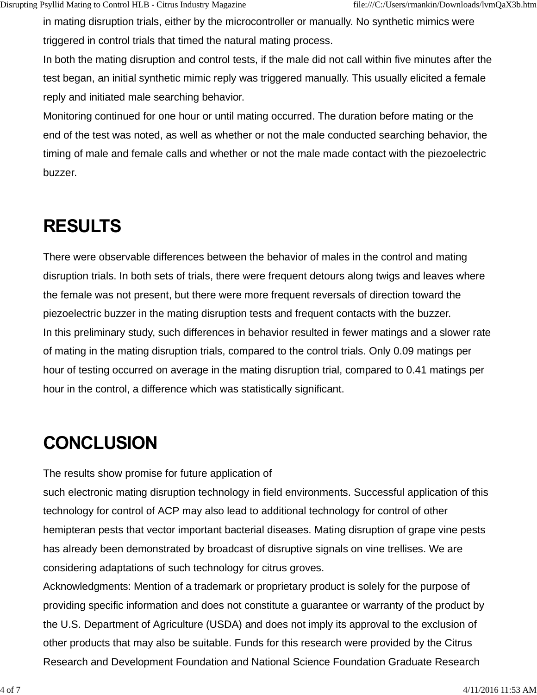in mating disruption trials, either by the microcontroller or manually. No synthetic mimics were triggered in control trials that timed the natural mating process.

In both the mating disruption and control tests, if the male did not call within five minutes after the test began, an initial synthetic mimic reply was triggered manually. This usually elicited a female reply and initiated male searching behavior.

Monitoring continued for one hour or until mating occurred. The duration before mating or the end of the test was noted, as well as whether or not the male conducted searching behavior, the timing of male and female calls and whether or not the male made contact with the piezoelectric buzzer.

## **RESULTS**

There were observable differences between the behavior of males in the control and mating disruption trials. In both sets of trials, there were frequent detours along twigs and leaves where the female was not present, but there were more frequent reversals of direction toward the piezoelectric buzzer in the mating disruption tests and frequent contacts with the buzzer. In this preliminary study, such differences in behavior resulted in fewer matings and a slower rate of mating in the mating disruption trials, compared to the control trials. Only 0.09 matings per hour of testing occurred on average in the mating disruption trial, compared to 0.41 matings per hour in the control, a difference which was statistically significant.

#### **CONCLUSION**

The results show promise for future application of

such electronic mating disruption technology in field environments. Successful application of this technology for control of ACP may also lead to additional technology for control of other hemipteran pests that vector important bacterial diseases. Mating disruption of grape vine pests has already been demonstrated by broadcast of disruptive signals on vine trellises. We are considering adaptations of such technology for citrus groves.

Acknowledgments: Mention of a trademark or proprietary product is solely for the purpose of providing specific information and does not constitute a guarantee or warranty of the product by the U.S. Department of Agriculture (USDA) and does not imply its approval to the exclusion of other products that may also be suitable. Funds for this research were provided by the Citrus Research and Development Foundation and National Science Foundation Graduate Research